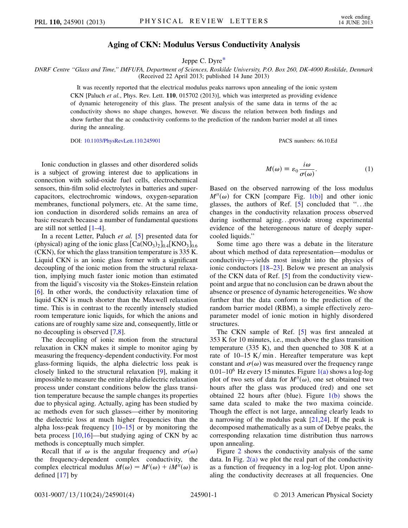## Aging of CKN: Modulus Versus Conductivity Analysis

Jeppe C. Dyre[\\*](#page-3-0)

<span id="page-0-1"></span>DNRF Centre ''Glass and Time,'' IMFUFA, Department of Sciences, Roskilde University, P.O. Box 260, DK-4000 Roskilde, Denmark (Received 22 April 2013; published 14 June 2013)

> It was recently reported that the electrical modulus peaks narrows upon annealing of the ionic system CKN [Paluch et al., Phys. Rev. Lett. 110, 015702 (2013)], which was interpreted as providing evidence of dynamic heterogeneity of this glass. The present analysis of the same data in terms of the ac conductivity shows no shape changes, however. We discuss the relation between both findings and show further that the ac conductivity conforms to the prediction of the random barrier model at all times during the annealing.

> DOI: [10.1103/PhysRevLett.110.245901](http://dx.doi.org/10.1103/PhysRevLett.110.245901) PACS numbers: 66.10.Ed

Ionic conduction in glasses and other disordered solids is a subject of growing interest due to applications in connection with solid-oxide fuel cells, electrochemical sensors, thin-film solid electrolytes in batteries and supercapacitors, electrochromic windows, oxygen-separation membranes, functional polymers, etc. At the same time, ion conduction in disordered solids remains an area of basic research because a number of fundamental questions are still not settled [\[1](#page-3-1)–[4\]](#page-3-2).

In a recent Letter, Paluch et al. [[5\]](#page-3-3) presented data for (physical) aging of the ionic glass  $\left[Ca(NO_3)_2\right]_{0.4}$  KNO<sub>3</sub> $\left]_{0.6}$ (CKN), for which the glass transition temperature is 335 K. Liquid CKN is an ionic glass former with a significant decoupling of the ionic motion from the structural relaxation, implying much faster ionic motion than estimated from the liquid's viscosity via the Stokes-Einstein relation [\[6\]](#page-3-4). In other words, the conductivity relaxation time of liquid CKN is much shorter than the Maxwell relaxation time. This is in contrast to the recently intensely studied room temperature ionic liquids, for which the anions and cations are of roughly same size and, consequently, little or no decoupling is observed [\[7,](#page-3-5)[8](#page-3-6)].

The decoupling of ionic motion from the structural relaxation in CKN makes it simple to monitor aging by measuring the frequency-dependent conductivity. For most glass-forming liquids, the alpha dielectric loss peak is closely linked to the structural relaxation [[9](#page-3-7)], making it impossible to measure the entire alpha dielectric relaxation process under constant conditions below the glass transition temperature because the sample changes its properties due to physical aging. Actually, aging has been studied by ac methods even for such glasses—either by monitoring the dielectric loss at much higher frequencies than the alpha loss-peak frequency  $[10-15]$  $[10-15]$  $[10-15]$  $[10-15]$  or by monitoring the beta process  $[10,16]$  $[10,16]$ —but studying aging of CKN by ac methods is conceptually much simpler.

Recall that if  $\omega$  is the angular frequency and  $\sigma(\omega)$ the frequency-dependent complex conductivity, the complex electrical modulus  $M(\omega) = M'(\omega) + iM''(\omega)$  is defined [\[17\]](#page-3-11) by

$$
M(\omega) \equiv \varepsilon_0 \frac{i\omega}{\sigma(\omega)}.\tag{1}
$$

<span id="page-0-0"></span>Based on the observed narrowing of the loss modulus  $M''(\omega)$  for CKN [compare Fig. [1\(b\)](#page-1-0)] and other ionic glasses, the authors of Ref. [[5\]](#page-3-3) concluded that ''...the changes in the conductivity relaxation process observed during isothermal aging...provide strong experimental evidence of the heterogeneous nature of deeply supercooled liquids.''

Some time ago there was a debate in the literature about which method of data representation—modulus or conductivity—yields most insight into the physics of ionic conductors [[18–](#page-3-12)[23\]](#page-3-13). Below we present an analysis of the CKN data of Ref. [[5](#page-3-3)] from the conductivity viewpoint and argue that no conclusion can be drawn about the absence or presence of dynamic heterogeneities. We show further that the data conform to the prediction of the random barrier model (RBM), a simple effectively zeroparameter model of ionic motion in highly disordered structures.

The CKN sample of Ref. [\[5\]](#page-3-3) was first annealed at 353 K for 10 minutes, i.e., much above the glass transition temperature (335 K), and then quenched to 308 K at a rate of  $10-15$  K/min. Hereafter temperature was kept constant and  $\sigma(\omega)$  was measured over the frequency range 0.01–10<sup>6</sup> Hz every 15 minutes. Figure  $1(a)$  shows a log-log plot of two sets of data for  $M''(\omega)$ , one set obtained two hours after the glass was produced (red) and one set obtained 22 hours after (blue). Figure  $1(b)$  shows the same data scaled to make the two maxima coincide. Though the effect is not large, annealing clearly leads to a narrowing of the modulus peak  $[21,24]$  $[21,24]$  $[21,24]$  $[21,24]$  $[21,24]$ . If the peak is decomposed mathematically as a sum of Debye peaks, the corresponding relaxation time distribution thus narrows upon annealing.

Figure [2](#page-2-0) shows the conductivity analysis of the same data. In Fig.  $2(a)$  we plot the real part of the conductivity as a function of frequency in a log-log plot. Upon annealing the conductivity decreases at all frequencies. One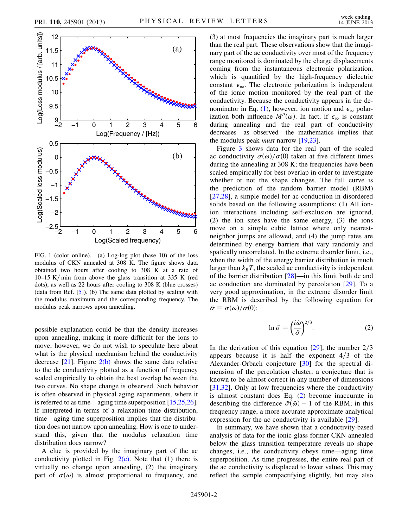<span id="page-1-2"></span>

<span id="page-1-0"></span>FIG. 1 (color online). (a) Log-log plot (base 10) of the loss modulus of CKN annealed at 308 K. The figure shows data obtained two hours after cooling to 308 K at a rate of 10–15 K/min from above the glass transition at 335 K (red dots), as well as 22 hours after cooling to 308 K (blue crosses) (data from Ref. [[5\]](#page-3-3)). (b) The same data plotted by scaling with the modulus maximum and the corresponding frequency. The modulus peak narrows upon annealing.

possible explanation could be that the density increases upon annealing, making it more difficult for the ions to move; however, we do not wish to speculate here about what is the physical mechanism behind the conductivity decrease  $[21]$  $[21]$ . Figure  $2(b)$  shows the same data relative to the dc conductivity plotted as a function of frequency scaled empirically to obtain the best overlap between the two curves. No shape change is observed. Such behavior is often observed in physical aging experiments, where it is referred to as time—aging time superposition [\[15](#page-3-9)[,25,](#page-3-16)[26\]](#page-3-17). If interpreted in terms of a relaxation time distribution, time—aging time superposition implies that the distribution does not narrow upon annealing. How is one to understand this, given that the modulus relaxation time distribution does narrow?

A clue is provided by the imaginary part of the ac conductivity plotted in Fig.  $2(c)$ . Note that (1) there is virtually no change upon annealing, (2) the imaginary part of  $\sigma(\omega)$  is almost proportional to frequency, and (3) at most frequencies the imaginary part is much larger than the real part. These observations show that the imaginary part of the ac conductivity over most of the frequency range monitored is dominated by the charge displacements coming from the instantaneous electronic polarization, which is quantified by the high-frequency dielectric constant  $\epsilon_{\infty}$ . The electronic polarization is independent of the ionic motion monitored by the real part of the conductivity. Because the conductivity appears in the de-nominator in Eq. ([1\)](#page-0-0), however, ion motion and  $\epsilon_{\infty}$  polarization both influence  $M''(\omega)$ . In fact, if  $\epsilon_{\infty}$  is constant during annealing and the real part of conductivity decreases—as observed—the mathematics implies that the modulus peak *must* narrow [\[19](#page-3-18)[,23\]](#page-3-13).

Figure [3](#page-2-2) shows data for the real part of the scaled ac conductivity  $\sigma(\omega)/\sigma(0)$  taken at five different times during the annealing at 308 K; the frequencies have been scaled empirically for best overlap in order to investigate whether or not the shape changes. The full curve is the prediction of the random barrier model (RBM) [[27](#page-3-19),[28\]](#page-3-20), a simple model for ac conduction in disordered solids based on the following assumptions: (1) All ionion interactions including self-exclusion are ignored, (2) the ion sites have the same energy, (3) the ions move on a simple cubic lattice where only nearestneighbor jumps are allowed, and (4) the jump rates are determined by energy barriers that vary randomly and spatically uncorrelated. In the extreme disorder limit, i.e., when the width of the energy barrier distribution is much larger than  $k_BT$ , the scaled ac conductivity is independent of the barrier distribution  $[28]$  $[28]$ —in this limit both dc and ac conduction are dominated by percolation [[29](#page-3-21)]. To a very good approximation, in the extreme disorder limit the RBM is described by the following equation for  $\tilde{\sigma} \equiv \sigma(\omega)/\sigma(0)$ :

$$
\ln \tilde{\sigma} = \left(\frac{i\tilde{\omega}}{\tilde{\sigma}}\right)^{2/3}.\tag{2}
$$

<span id="page-1-1"></span>In the derivation of this equation  $[29]$  $[29]$ , the number  $2/3$ appears because it is half the exponent  $4/3$  of the Alexander-Orbach conjecture [\[30](#page-3-22)] for the spectral dimension of the percolation cluster, a conjecture that is known to be almost correct in any number of dimensions [[31](#page-3-23),[32\]](#page-3-24). Only at low frequencies where the conductivity is almost constant does Eq. ([2](#page-1-1)) become inaccurate in describing the difference  $\tilde{\sigma}(\tilde{\omega}) - 1$  of the RBM; in this frequency range, a more accurate approximate analytical expression for the ac conductivity is available [\[29\]](#page-3-21).

In summary, we have shown that a conductivity-based analysis of data for the ionic glass former CKN annealed below the glass transition temperature reveals no shape changes, i.e., the conductivity obeys time—aging time superposition. As time progresses, the entire real part of the ac conductivity is displaced to lower values. This may reflect the sample compactifying slightly, but may also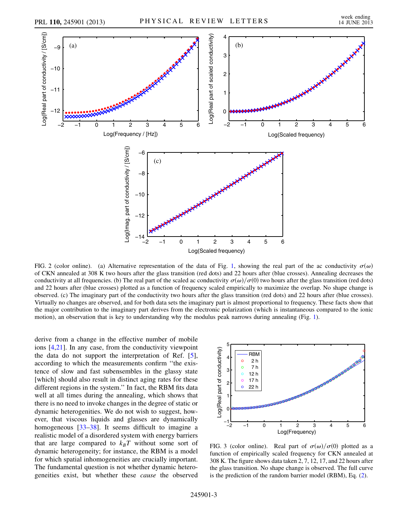<span id="page-2-0"></span>

<span id="page-2-1"></span>FIG. 2 (color online). (a) Alternative representation of the data of Fig. [1](#page-1-2), showing the real part of the ac conductivity  $\sigma(\omega)$ of CKN annealed at 308 K two hours after the glass transition (red dots) and 22 hours after (blue crosses). Annealing decreases the conductivity at all frequencies. (b) The real part of the scaled ac conductivity  $\sigma(\omega)/\sigma(0)$  two hours after the glass transition (red dots) and 22 hours after (blue crosses) plotted as a function of frequency scaled empirically to maximize the overlap. No shape change is observed. (c) The imaginary part of the conductivity two hours after the glass transition (red dots) and 22 hours after (blue crosses). Virtually no changes are observed, and for both data sets the imaginary part is almost proportional to frequency. These facts show that the major contribution to the imaginary part derives from the electronic polarization (which is instantaneous compared to the ionic motion), an observation that is key to understanding why the modulus peak narrows during annealing (Fig. [1\)](#page-1-2).

derive from a change in the effective number of mobile ions [\[4,](#page-3-2)[21\]](#page-3-14). In any case, from the conductivity viewpoint the data do not support the interpretation of Ref. [[5\]](#page-3-3), according to which the measurements confirm ''the existence of slow and fast subensembles in the glassy state [which] should also result in distinct aging rates for these different regions in the system.'' In fact, the RBM fits data well at all times during the annealing, which shows that there is no need to invoke changes in the degree of static or dynamic heterogenities. We do not wish to suggest, however, that viscous liquids and glasses are dynamically homogeneous [\[33–](#page-3-25)[38](#page-3-26)]. It seems difficult to imagine a realistic model of a disordered system with energy barriers that are large compared to  $k_BT$  without some sort of dynamic heterogeneity; for instance, the RBM is a model for which spatial inhomogeneities are crucially important. The fundamental question is not whether dynamic heterogeneities exist, but whether these cause the observed

<span id="page-2-2"></span>

FIG. 3 (color online). Real part of  $\sigma(\omega)/\sigma(0)$  plotted as a function of empirically scaled frequency for CKN annealed at 308 K. The figure shows data taken 2, 7, 12, 17, and 22 hours after the glass transition. No shape change is observed. The full curve is the prediction of the random barrier model (RBM), Eq. [\(2\)](#page-1-1).